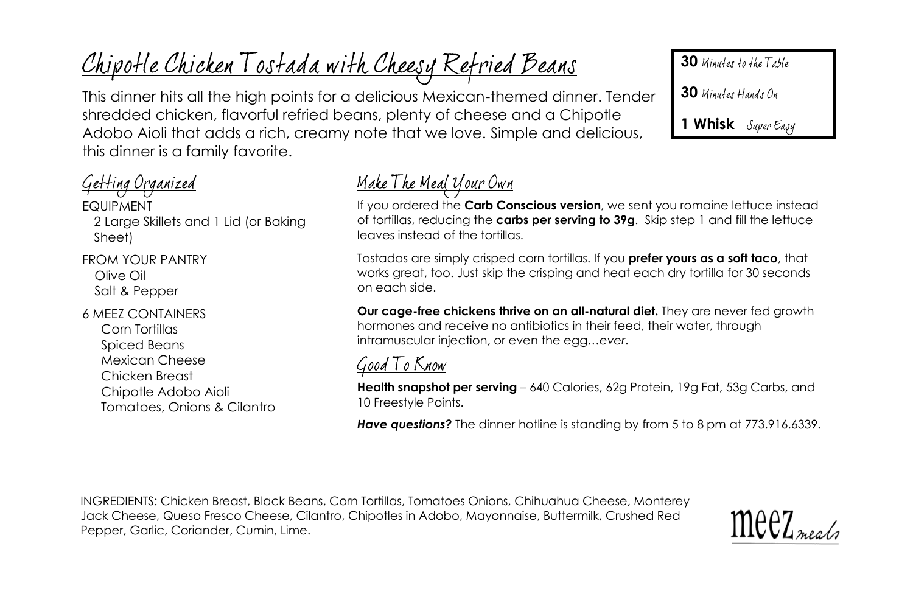# Chipotle Chicken Tostada with Cheesy Refried Beans

This dinner hits all the high points for a delicious Mexican-themed dinner. Tender shredded chicken, flavorful refried beans, plenty of cheese and a Chipotle Adobo Aioli that adds a rich, creamy note that we love. Simple and delicious, this dinner is a family favorite.

### Getting Organized

EQUIPMENT 2 Large Skillets and 1 Lid (or Baking Sheet)

FROM YOUR PANTRY Olive Oil Salt & Pepper

6 MEEZ CONTAINERS Corn Tortillas Spiced Beans Mexican Cheese Chicken Breast Chipotle Adobo Aioli Tomatoes, Onions & Cilantro

## <u> Make The Meal Your Own</u>

If you ordered the **Carb Conscious version**, we sent you romaine lettuce instead of tortillas, reducing the **carbs per serving to 39g**. Skip step 1 and fill the lettuce leaves instead of the tortillas.

Tostadas are simply crisped corn tortillas. If you **prefer yours as a soft taco**, that works great, too. Just skip the crisping and heat each dry tortilla for 30 seconds on each side.

**Our cage-free chickens thrive on an all-natural diet.** They are never fed growth hormones and receive no antibiotics in their feed, their water, through intramuscular injection, or even the egg…*ever*.

### Good To Know

**Health snapshot per serving** – 640 Calories, 62g Protein, 19g Fat, 53g Carbs, and 10 Freestyle Points.

*Have questions?* The dinner hotline is standing by from 5 to 8 pm at 773.916.6339.

INGREDIENTS: Chicken Breast, Black Beans, Corn Tortillas, Tomatoes Onions, Chihuahua Cheese, Monterey Jack Cheese, Queso Fresco Cheese, Cilantro, Chipotles in Adobo, Mayonnaise, Buttermilk, Crushed Red Pepper, Garlic, Coriander, Cumin, Lime.



**30** Minutes to the Table

30 Minutes Hands On

**1 Whisk**